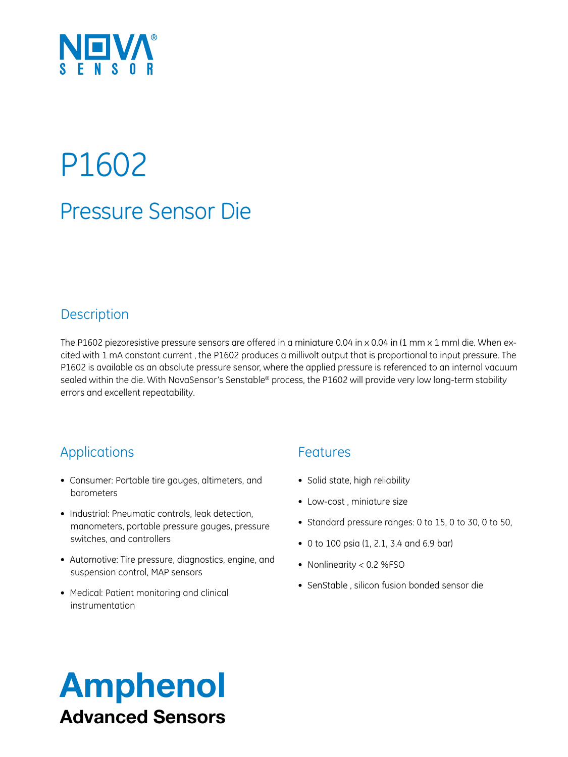

# Pressure Sensor Die P1602

### **Description**

The P1602 piezoresistive pressure sensors are offered in a miniature 0.04 in  $\times$  0.04 in (1 mm  $\times$  1 mm) die. When excited with 1 mA constant current , the P1602 produces a millivolt output that is proportional to input pressure. The P1602 is available as an absolute pressure sensor, where the applied pressure is referenced to an internal vacuum sealed within the die. With NovaSensor's Senstable® process, the P1602 will provide very low long-term stability errors and excellent repeatability.

### Applications

- • Consumer: Portable tire gauges, altimeters, and barometers
- Industrial: Pneumatic controls, leak detection, manometers, portable pressure gauges, pressure switches, and controllers
- Automotive: Tire pressure, diagnostics, engine, and suspension control, MAP sensors
- Medical: Patient monitoring and clinical instrumentation

#### Features

- Solid state, high reliability
- Low-cost, miniature size
- Standard pressure ranges: 0 to 15, 0 to 30, 0 to 50,
- 0 to 100 psia (1, 2.1, 3.4 and 6.9 bar)
- Nonlinearity < 0.2 %FSO
- SenStable, silicon fusion bonded sensor die

## Amphenol Advanced Sensors